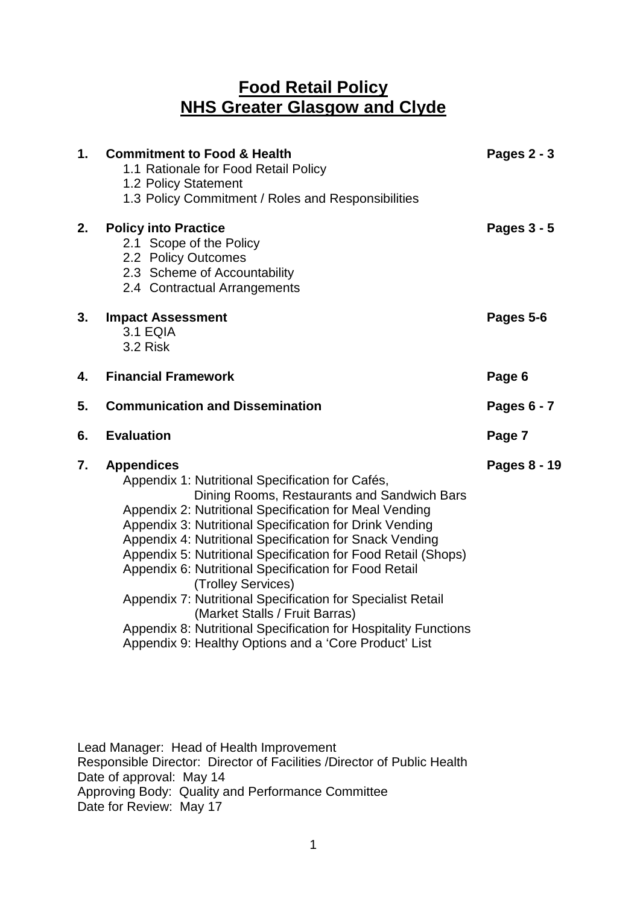# **Food Retail Policy NHS Greater Glasgow and Clyde**

| 1. | <b>Commitment to Food &amp; Health</b><br>1.1 Rationale for Food Retail Policy<br>1.2 Policy Statement<br>1.3 Policy Commitment / Roles and Responsibilities                                                                                                                                                                                                                                                                                                                                                                                                                                                                                                                      | Pages 2 - 3   |
|----|-----------------------------------------------------------------------------------------------------------------------------------------------------------------------------------------------------------------------------------------------------------------------------------------------------------------------------------------------------------------------------------------------------------------------------------------------------------------------------------------------------------------------------------------------------------------------------------------------------------------------------------------------------------------------------------|---------------|
| 2. | <b>Policy into Practice</b><br>2.1 Scope of the Policy<br>2.2 Policy Outcomes<br>2.3 Scheme of Accountability<br>2.4 Contractual Arrangements                                                                                                                                                                                                                                                                                                                                                                                                                                                                                                                                     | Pages $3 - 5$ |
| 3. | <b>Impact Assessment</b><br><b>3.1 EQIA</b><br>3.2 Risk                                                                                                                                                                                                                                                                                                                                                                                                                                                                                                                                                                                                                           | Pages 5-6     |
| 4. | <b>Financial Framework</b>                                                                                                                                                                                                                                                                                                                                                                                                                                                                                                                                                                                                                                                        | Page 6        |
| 5. | <b>Communication and Dissemination</b>                                                                                                                                                                                                                                                                                                                                                                                                                                                                                                                                                                                                                                            | Pages 6 - 7   |
| 6. | <b>Evaluation</b>                                                                                                                                                                                                                                                                                                                                                                                                                                                                                                                                                                                                                                                                 | Page 7        |
| 7. | <b>Appendices</b><br>Appendix 1: Nutritional Specification for Cafés,<br>Dining Rooms, Restaurants and Sandwich Bars<br>Appendix 2: Nutritional Specification for Meal Vending<br>Appendix 3: Nutritional Specification for Drink Vending<br>Appendix 4: Nutritional Specification for Snack Vending<br>Appendix 5: Nutritional Specification for Food Retail (Shops)<br>Appendix 6: Nutritional Specification for Food Retail<br>(Trolley Services)<br>Appendix 7: Nutritional Specification for Specialist Retail<br>(Market Stalls / Fruit Barras)<br>Appendix 8: Nutritional Specification for Hospitality Functions<br>Appendix 9: Healthy Options and a 'Core Product' List | Pages 8 - 19  |

Lead Manager: Head of Health Improvement Responsible Director: Director of Facilities /Director of Public Health Date of approval: May 14 Approving Body: Quality and Performance Committee Date for Review: May 17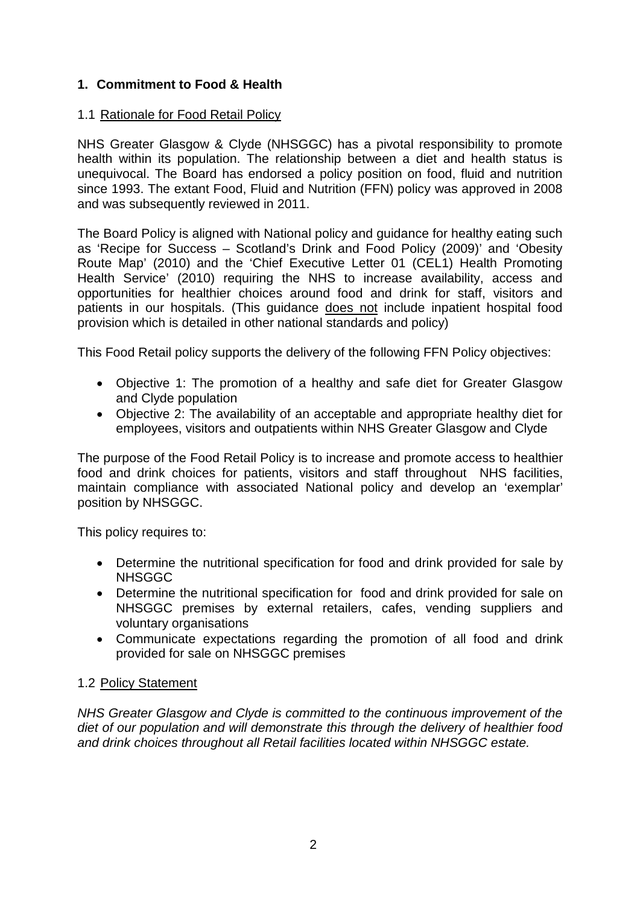# **1. Commitment to Food & Health**

### 1.1 Rationale for Food Retail Policy

NHS Greater Glasgow & Clyde (NHSGGC) has a pivotal responsibility to promote health within its population. The relationship between a diet and health status is unequivocal. The Board has endorsed a policy position on food, fluid and nutrition since 1993. The extant Food, Fluid and Nutrition (FFN) policy was approved in 2008 and was subsequently reviewed in 2011.

The Board Policy is aligned with National policy and guidance for healthy eating such as 'Recipe for Success – Scotland's Drink and Food Policy (2009)' and 'Obesity Route Map' (2010) and the 'Chief Executive Letter 01 (CEL1) Health Promoting Health Service' (2010) requiring the NHS to increase availability, access and opportunities for healthier choices around food and drink for staff, visitors and patients in our hospitals. (This guidance does not include inpatient hospital food provision which is detailed in other national standards and policy)

This Food Retail policy supports the delivery of the following FFN Policy objectives:

- Objective 1: The promotion of a healthy and safe diet for Greater Glasgow and Clyde population
- Objective 2: The availability of an acceptable and appropriate healthy diet for employees, visitors and outpatients within NHS Greater Glasgow and Clyde

The purpose of the Food Retail Policy is to increase and promote access to healthier food and drink choices for patients, visitors and staff throughout NHS facilities, maintain compliance with associated National policy and develop an 'exemplar' position by NHSGGC.

This policy requires to:

- Determine the nutritional specification for food and drink provided for sale by NHSGGC
- Determine the nutritional specification for food and drink provided for sale on NHSGGC premises by external retailers, cafes, vending suppliers and voluntary organisations
- Communicate expectations regarding the promotion of all food and drink provided for sale on NHSGGC premises

# 1.2 Policy Statement

*NHS Greater Glasgow and Clyde is committed to the continuous improvement of the diet of our population and will demonstrate this through the delivery of healthier food and drink choices throughout all Retail facilities located within NHSGGC estate.*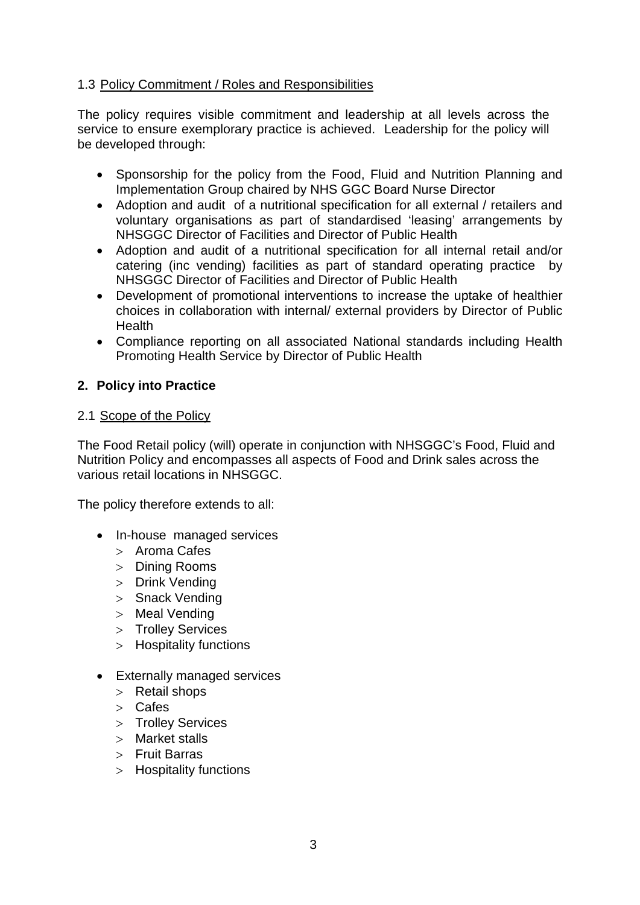### 1.3 Policy Commitment / Roles and Responsibilities

The policy requires visible commitment and leadership at all levels across the service to ensure exemplorary practice is achieved. Leadership for the policy will be developed through:

- Sponsorship for the policy from the Food, Fluid and Nutrition Planning and Implementation Group chaired by NHS GGC Board Nurse Director
- Adoption and audit of a nutritional specification for all external / retailers and voluntary organisations as part of standardised 'leasing' arrangements by NHSGGC Director of Facilities and Director of Public Health
- Adoption and audit of a nutritional specification for all internal retail and/or catering (inc vending) facilities as part of standard operating practice by NHSGGC Director of Facilities and Director of Public Health
- Development of promotional interventions to increase the uptake of healthier choices in collaboration with internal/ external providers by Director of Public **Health**
- Compliance reporting on all associated National standards including Health Promoting Health Service by Director of Public Health

### **2. Policy into Practice**

#### 2.1 Scope of the Policy

The Food Retail policy (will) operate in conjunction with NHSGGC's Food, Fluid and Nutrition Policy and encompasses all aspects of Food and Drink sales across the various retail locations in NHSGGC.

The policy therefore extends to all:

- In-house managed services
	- > Aroma Cafes
	- > Dining Rooms
	- > Drink Vending
	- > Snack Vending
	- > Meal Vending
	- > Trolley Services
	- > Hospitality functions
- Externally managed services
	- > Retail shops
	- > Cafes
	- > Trolley Services
	- > Market stalls
	- > Fruit Barras
	- > Hospitality functions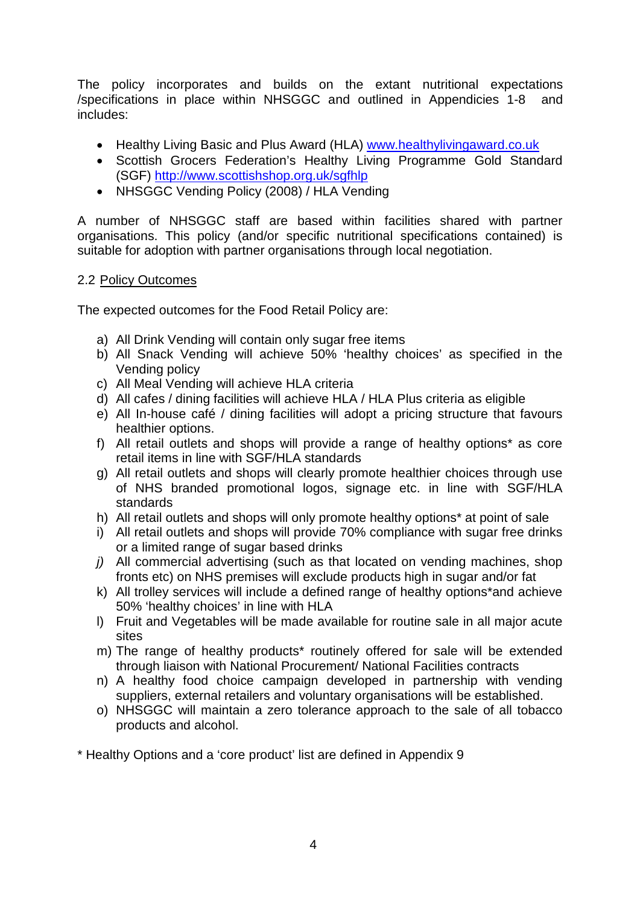The policy incorporates and builds on the extant nutritional expectations /specifications in place within NHSGGC and outlined in Appendicies 1-8 and includes:

- Healthy Living Basic and Plus Award (HLA) [www.healthylivingaward.co.uk](http://www.healthylivingaward.co.uk/)
- Scottish Grocers Federation's Healthy Living Programme Gold Standard (SGF) <http://www.scottishshop.org.uk/sgfhlp>
- NHSGGC Vending Policy (2008) / HLA Vending

A number of NHSGGC staff are based within facilities shared with partner organisations. This policy (and/or specific nutritional specifications contained) is suitable for adoption with partner organisations through local negotiation.

# 2.2 Policy Outcomes

The expected outcomes for the Food Retail Policy are:

- a) All Drink Vending will contain only sugar free items
- b) All Snack Vending will achieve 50% 'healthy choices' as specified in the Vending policy
- c) All Meal Vending will achieve HLA criteria
- d) All cafes / dining facilities will achieve HLA / HLA Plus criteria as eligible
- e) All In-house café / dining facilities will adopt a pricing structure that favours healthier options.
- f) All retail outlets and shops will provide a range of healthy options\* as core retail items in line with SGF/HLA standards
- g) All retail outlets and shops will clearly promote healthier choices through use of NHS branded promotional logos, signage etc. in line with SGF/HLA standards
- h) All retail outlets and shops will only promote healthy options\* at point of sale
- i) All retail outlets and shops will provide 70% compliance with sugar free drinks or a limited range of sugar based drinks
- *j)* All commercial advertising (such as that located on vending machines, shop fronts etc) on NHS premises will exclude products high in sugar and/or fat
- k) All trolley services will include a defined range of healthy options\*and achieve 50% 'healthy choices' in line with HLA
- l) Fruit and Vegetables will be made available for routine sale in all major acute sites
- m) The range of healthy products\* routinely offered for sale will be extended through liaison with National Procurement/ National Facilities contracts
- n) A healthy food choice campaign developed in partnership with vending suppliers, external retailers and voluntary organisations will be established.
- o) NHSGGC will maintain a zero tolerance approach to the sale of all tobacco products and alcohol.

\* Healthy Options and a 'core product' list are defined in Appendix 9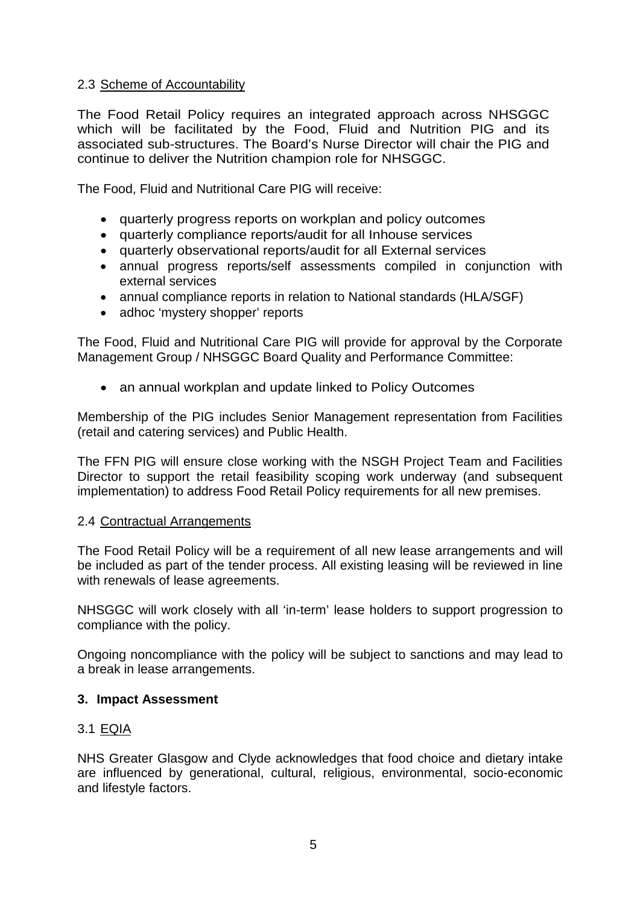### 2.3 Scheme of Accountability

The Food Retail Policy requires an integrated approach across NHSGGC which will be facilitated by the Food, Fluid and Nutrition PIG and its associated sub-structures. The Board's Nurse Director will chair the PIG and continue to deliver the Nutrition champion role for NHSGGC.

The Food, Fluid and Nutritional Care PIG will receive:

- quarterly progress reports on workplan and policy outcomes
- quarterly compliance reports/audit for all Inhouse services
- quarterly observational reports/audit for all External services
- annual progress reports/self assessments compiled in conjunction with external services
- annual compliance reports in relation to National standards (HLA/SGF)
- adhoc 'mystery shopper' reports

The Food, Fluid and Nutritional Care PIG will provide for approval by the Corporate Management Group / NHSGGC Board Quality and Performance Committee:

• an annual workplan and update linked to Policy Outcomes

Membership of the PIG includes Senior Management representation from Facilities (retail and catering services) and Public Health.

The FFN PIG will ensure close working with the NSGH Project Team and Facilities Director to support the retail feasibility scoping work underway (and subsequent implementation) to address Food Retail Policy requirements for all new premises.

#### 2.4 Contractual Arrangements

The Food Retail Policy will be a requirement of all new lease arrangements and will be included as part of the tender process. All existing leasing will be reviewed in line with renewals of lease agreements.

NHSGGC will work closely with all 'in-term' lease holders to support progression to compliance with the policy.

Ongoing noncompliance with the policy will be subject to sanctions and may lead to a break in lease arrangements.

#### **3. Impact Assessment**

#### 3.1 EQIA

NHS Greater Glasgow and Clyde acknowledges that food choice and dietary intake are influenced by generational, cultural, religious, environmental, socio-economic and lifestyle factors.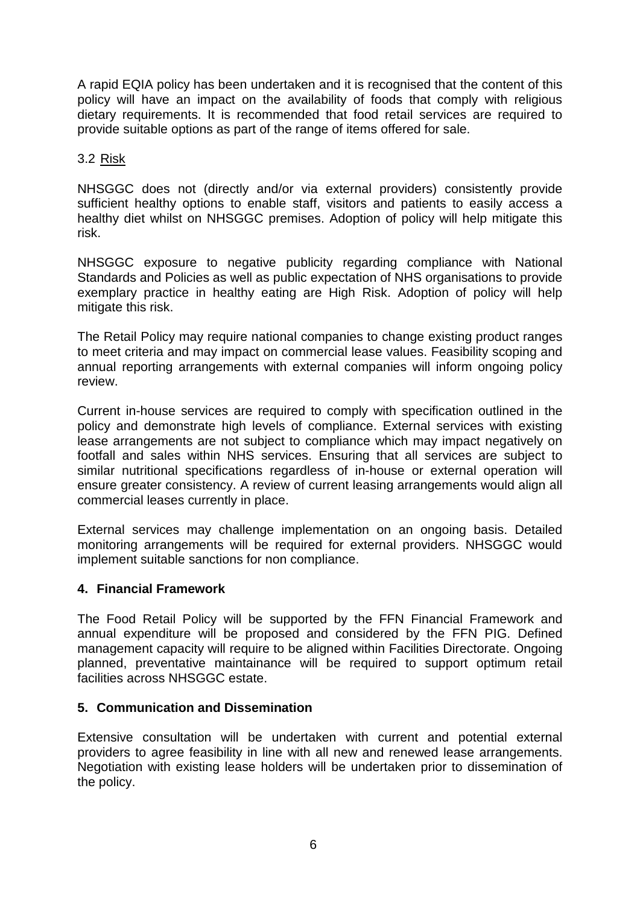A rapid EQIA policy has been undertaken and it is recognised that the content of this policy will have an impact on the availability of foods that comply with religious dietary requirements. It is recommended that food retail services are required to provide suitable options as part of the range of items offered for sale.

### 3.2 Risk

NHSGGC does not (directly and/or via external providers) consistently provide sufficient healthy options to enable staff, visitors and patients to easily access a healthy diet whilst on NHSGGC premises. Adoption of policy will help mitigate this risk.

NHSGGC exposure to negative publicity regarding compliance with National Standards and Policies as well as public expectation of NHS organisations to provide exemplary practice in healthy eating are High Risk. Adoption of policy will help mitigate this risk.

The Retail Policy may require national companies to change existing product ranges to meet criteria and may impact on commercial lease values. Feasibility scoping and annual reporting arrangements with external companies will inform ongoing policy review.

Current in-house services are required to comply with specification outlined in the policy and demonstrate high levels of compliance. External services with existing lease arrangements are not subject to compliance which may impact negatively on footfall and sales within NHS services. Ensuring that all services are subject to similar nutritional specifications regardless of in-house or external operation will ensure greater consistency. A review of current leasing arrangements would align all commercial leases currently in place.

External services may challenge implementation on an ongoing basis. Detailed monitoring arrangements will be required for external providers. NHSGGC would implement suitable sanctions for non compliance.

#### **4. Financial Framework**

The Food Retail Policy will be supported by the FFN Financial Framework and annual expenditure will be proposed and considered by the FFN PIG. Defined management capacity will require to be aligned within Facilities Directorate. Ongoing planned, preventative maintainance will be required to support optimum retail facilities across NHSGGC estate.

#### **5. Communication and Dissemination**

Extensive consultation will be undertaken with current and potential external providers to agree feasibility in line with all new and renewed lease arrangements. Negotiation with existing lease holders will be undertaken prior to dissemination of the policy.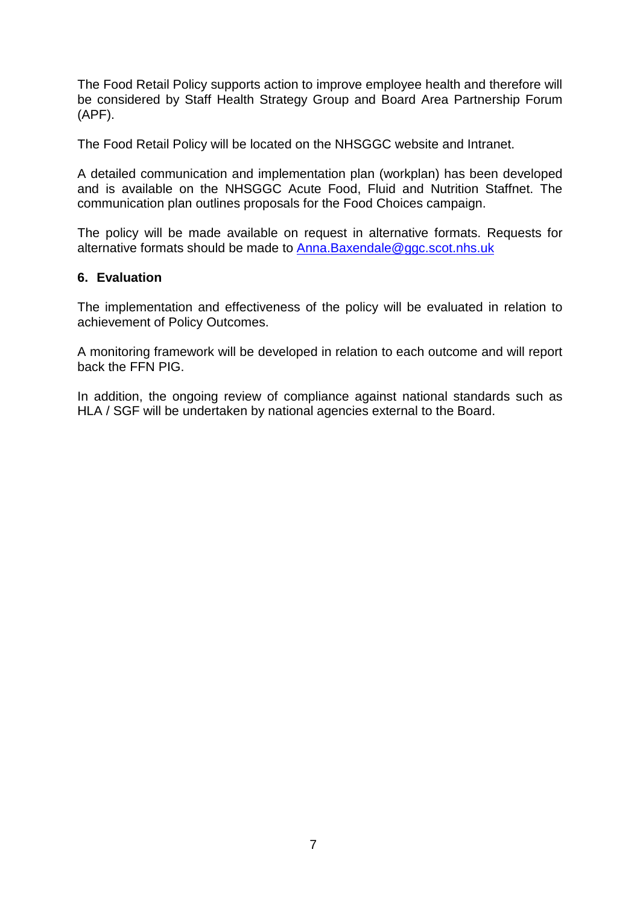The Food Retail Policy supports action to improve employee health and therefore will be considered by Staff Health Strategy Group and Board Area Partnership Forum (APF).

The Food Retail Policy will be located on the NHSGGC website and Intranet.

A detailed communication and implementation plan (workplan) has been developed and is available on the NHSGGC Acute Food, Fluid and Nutrition Staffnet. The communication plan outlines proposals for the Food Choices campaign.

The policy will be made available on request in alternative formats. Requests for alternative formats should be made to [Anna.Baxendale@ggc.scot.nhs.uk](mailto:Anna.Baxendale@ggc.scot.nhs.uk)

#### **6. Evaluation**

The implementation and effectiveness of the policy will be evaluated in relation to achievement of Policy Outcomes.

A monitoring framework will be developed in relation to each outcome and will report back the FFN PIG.

In addition, the ongoing review of compliance against national standards such as HLA / SGF will be undertaken by national agencies external to the Board.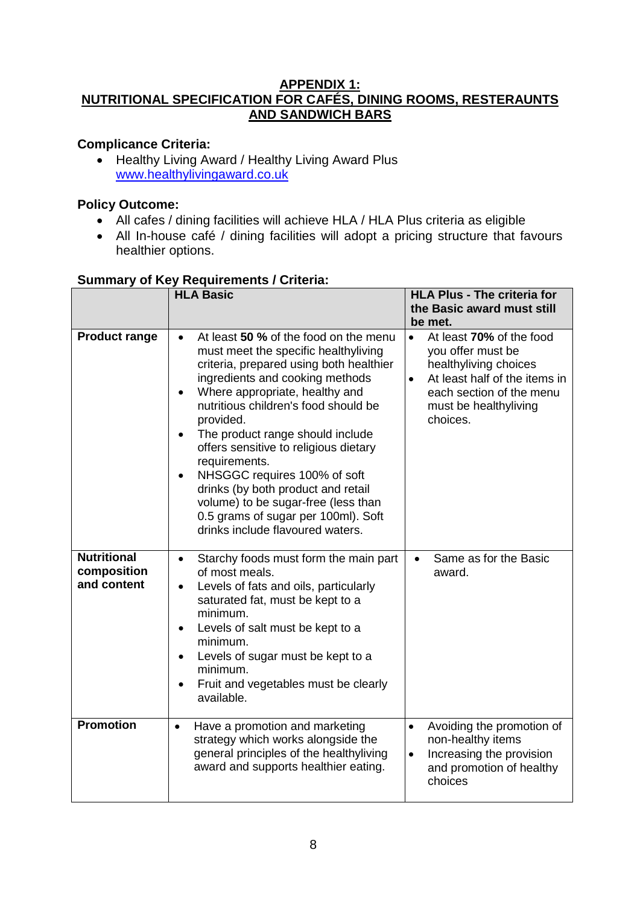#### **APPENDIX 1: NUTRITIONAL SPECIFICATION FOR CAFÉS, DINING ROOMS, RESTERAUNTS AND SANDWICH BARS**

# **Complicance Criteria:**

• Healthy Living Award / Healthy Living Award Plus [www.healthylivingaward.co.uk](http://www.healthylivingaward.co.uk/)

# **Policy Outcome:**

- All cafes / dining facilities will achieve HLA / HLA Plus criteria as eligible
- All In-house café / dining facilities will adopt a pricing structure that favours healthier options.

|                                                  | <b>HLA Basic</b>                                                                                                                                                                                                                                                                                                                                                                                                                                                                                                                                                                | <b>HLA Plus - The criteria for</b><br>the Basic award must still<br>be met.                                                                                                                        |
|--------------------------------------------------|---------------------------------------------------------------------------------------------------------------------------------------------------------------------------------------------------------------------------------------------------------------------------------------------------------------------------------------------------------------------------------------------------------------------------------------------------------------------------------------------------------------------------------------------------------------------------------|----------------------------------------------------------------------------------------------------------------------------------------------------------------------------------------------------|
| <b>Product range</b>                             | At least 50 % of the food on the menu<br>$\bullet$<br>must meet the specific healthyliving<br>criteria, prepared using both healthier<br>ingredients and cooking methods<br>Where appropriate, healthy and<br>nutritious children's food should be<br>provided.<br>The product range should include<br>$\bullet$<br>offers sensitive to religious dietary<br>requirements.<br>NHSGGC requires 100% of soft<br>$\bullet$<br>drinks (by both product and retail<br>volume) to be sugar-free (less than<br>0.5 grams of sugar per 100ml). Soft<br>drinks include flavoured waters. | At least 70% of the food<br>$\bullet$<br>you offer must be<br>healthyliving choices<br>At least half of the items in<br>$\bullet$<br>each section of the menu<br>must be healthyliving<br>choices. |
| <b>Nutritional</b><br>composition<br>and content | Starchy foods must form the main part<br>$\bullet$<br>of most meals.<br>Levels of fats and oils, particularly<br>$\bullet$<br>saturated fat, must be kept to a<br>minimum.<br>Levels of salt must be kept to a<br>$\bullet$<br>minimum.<br>Levels of sugar must be kept to a<br>$\bullet$<br>minimum.<br>Fruit and vegetables must be clearly<br>available.                                                                                                                                                                                                                     | Same as for the Basic<br>$\bullet$<br>award.                                                                                                                                                       |
| <b>Promotion</b>                                 | Have a promotion and marketing<br>$\bullet$<br>strategy which works alongside the<br>general principles of the healthyliving<br>award and supports healthier eating.                                                                                                                                                                                                                                                                                                                                                                                                            | Avoiding the promotion of<br>$\bullet$<br>non-healthy items<br>Increasing the provision<br>$\bullet$<br>and promotion of healthy<br>choices                                                        |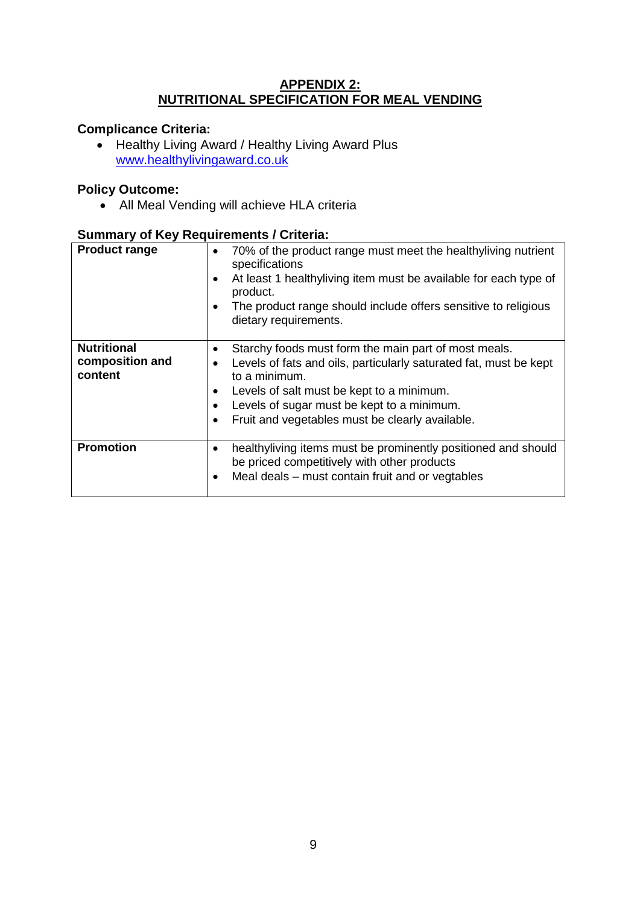#### **APPENDIX 2: NUTRITIONAL SPECIFICATION FOR MEAL VENDING**

# **Complicance Criteria:**

• Healthy Living Award / Healthy Living Award Plus [www.healthylivingaward.co.uk](http://www.healthylivingaward.co.uk/)

### **Policy Outcome:**

• All Meal Vending will achieve HLA criteria

| <b>Product range</b>                             | 70% of the product range must meet the healthyliving nutrient<br>$\bullet$<br>specifications<br>At least 1 healthyliving item must be available for each type of<br>٠<br>product.<br>The product range should include offers sensitive to religious<br>dietary requirements.                                         |
|--------------------------------------------------|----------------------------------------------------------------------------------------------------------------------------------------------------------------------------------------------------------------------------------------------------------------------------------------------------------------------|
| <b>Nutritional</b><br>composition and<br>content | Starchy foods must form the main part of most meals.<br>Levels of fats and oils, particularly saturated fat, must be kept<br>٠<br>to a minimum.<br>Levels of salt must be kept to a minimum.<br>٠<br>Levels of sugar must be kept to a minimum.<br>٠<br>Fruit and vegetables must be clearly available.<br>$\bullet$ |
| <b>Promotion</b>                                 | healthyliving items must be prominently positioned and should<br>٠<br>be priced competitively with other products<br>Meal deals - must contain fruit and or vegtables                                                                                                                                                |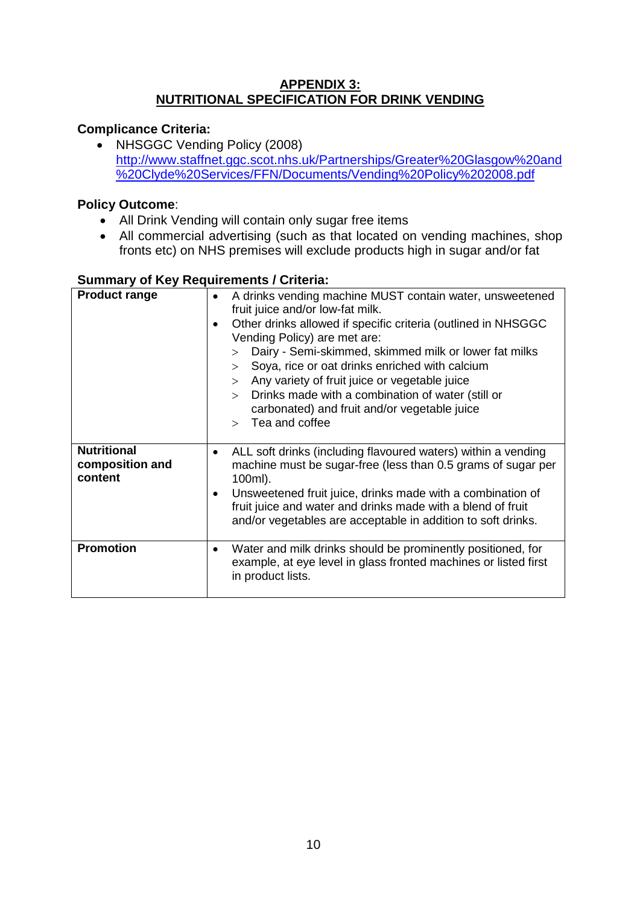### **APPENDIX 3: NUTRITIONAL SPECIFICATION FOR DRINK VENDING**

# **Complicance Criteria:**

• NHSGGC Vending Policy (2008) [http://www.staffnet.ggc.scot.nhs.uk/Partnerships/Greater%20Glasgow%20and](http://www.staffnet.ggc.scot.nhs.uk/Partnerships/Greater%20Glasgow%20and%20Clyde%20Services/FFN/Documents/Vending%20Policy%202008.pdf) [%20Clyde%20Services/FFN/Documents/Vending%20Policy%202008.pdf](http://www.staffnet.ggc.scot.nhs.uk/Partnerships/Greater%20Glasgow%20and%20Clyde%20Services/FFN/Documents/Vending%20Policy%202008.pdf)

# **Policy Outcome**:

- All Drink Vending will contain only sugar free items
- All commercial advertising (such as that located on vending machines, shop fronts etc) on NHS premises will exclude products high in sugar and/or fat

| <b>Product range</b>                             | A drinks vending machine MUST contain water, unsweetened<br>$\bullet$<br>fruit juice and/or low-fat milk.<br>Other drinks allowed if specific criteria (outlined in NHSGGC<br>Vending Policy) are met are:<br>Dairy - Semi-skimmed, skimmed milk or lower fat milks<br>$\geq$<br>Soya, rice or oat drinks enriched with calcium<br>$\geq$<br>Any variety of fruit juice or vegetable juice<br>$\geq$<br>Drinks made with a combination of water (still or<br>$\geq$<br>carbonated) and fruit and/or vegetable juice<br>Tea and coffee |
|--------------------------------------------------|---------------------------------------------------------------------------------------------------------------------------------------------------------------------------------------------------------------------------------------------------------------------------------------------------------------------------------------------------------------------------------------------------------------------------------------------------------------------------------------------------------------------------------------|
| <b>Nutritional</b><br>composition and<br>content | ALL soft drinks (including flavoured waters) within a vending<br>machine must be sugar-free (less than 0.5 grams of sugar per<br>100ml).<br>Unsweetened fruit juice, drinks made with a combination of<br>fruit juice and water and drinks made with a blend of fruit<br>and/or vegetables are acceptable in addition to soft drinks.                                                                                                                                                                                                 |
| <b>Promotion</b>                                 | Water and milk drinks should be prominently positioned, for<br>example, at eye level in glass fronted machines or listed first<br>in product lists.                                                                                                                                                                                                                                                                                                                                                                                   |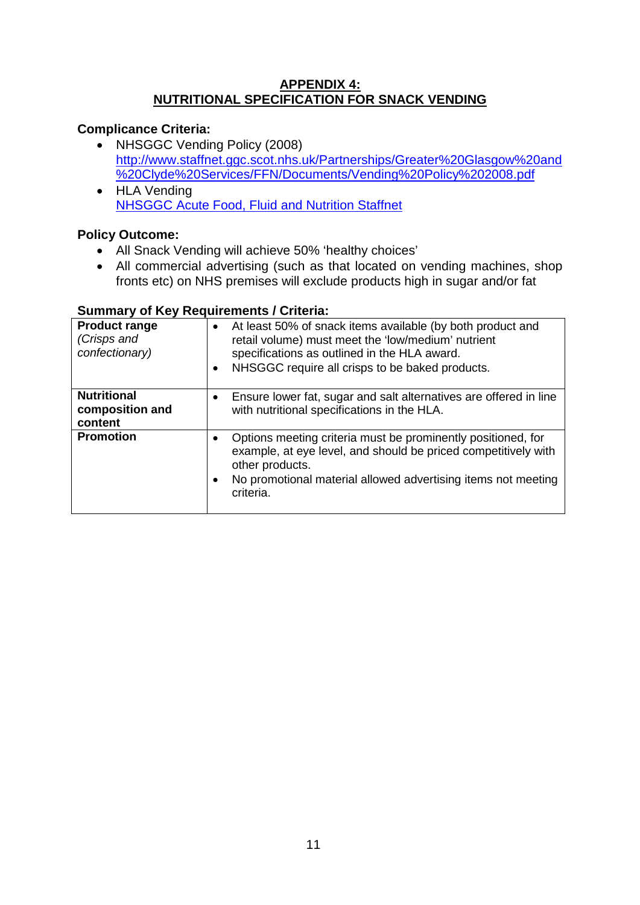### **APPENDIX 4: NUTRITIONAL SPECIFICATION FOR SNACK VENDING**

# **Complicance Criteria:**

- NHSGGC Vending Policy (2008) [http://www.staffnet.ggc.scot.nhs.uk/Partnerships/Greater%20Glasgow%20and](http://www.staffnet.ggc.scot.nhs.uk/Partnerships/Greater%20Glasgow%20and%20Clyde%20Services/FFN/Documents/Vending%20Policy%202008.pdf) [%20Clyde%20Services/FFN/Documents/Vending%20Policy%202008.pdf](http://www.staffnet.ggc.scot.nhs.uk/Partnerships/Greater%20Glasgow%20and%20Clyde%20Services/FFN/Documents/Vending%20Policy%202008.pdf)
- HLA Vending [NHSGGC Acute Food, Fluid and Nutrition Staffnet](http://www.staffnet.ggc.scot.nhs.uk/Acute/Division%20Wide%20Services/Food%20Fluid%20And%20Nutrition/Pages/default25441b9248e1429892e04d69e101b99b.aspx)

# **Policy Outcome:**

- All Snack Vending will achieve 50% 'healthy choices'
- All commercial advertising (such as that located on vending machines, shop fronts etc) on NHS premises will exclude products high in sugar and/or fat

| <b>Product range</b><br>(Crisps and<br>confectionary) | At least 50% of snack items available (by both product and<br>$\bullet$<br>retail volume) must meet the 'low/medium' nutrient<br>specifications as outlined in the HLA award.<br>NHSGGC require all crisps to be baked products.<br>٠     |
|-------------------------------------------------------|-------------------------------------------------------------------------------------------------------------------------------------------------------------------------------------------------------------------------------------------|
| <b>Nutritional</b><br>composition and<br>content      | Ensure lower fat, sugar and salt alternatives are offered in line<br>٠<br>with nutritional specifications in the HLA.                                                                                                                     |
| <b>Promotion</b>                                      | Options meeting criteria must be prominently positioned, for<br>٠<br>example, at eye level, and should be priced competitively with<br>other products.<br>No promotional material allowed advertising items not meeting<br>٠<br>criteria. |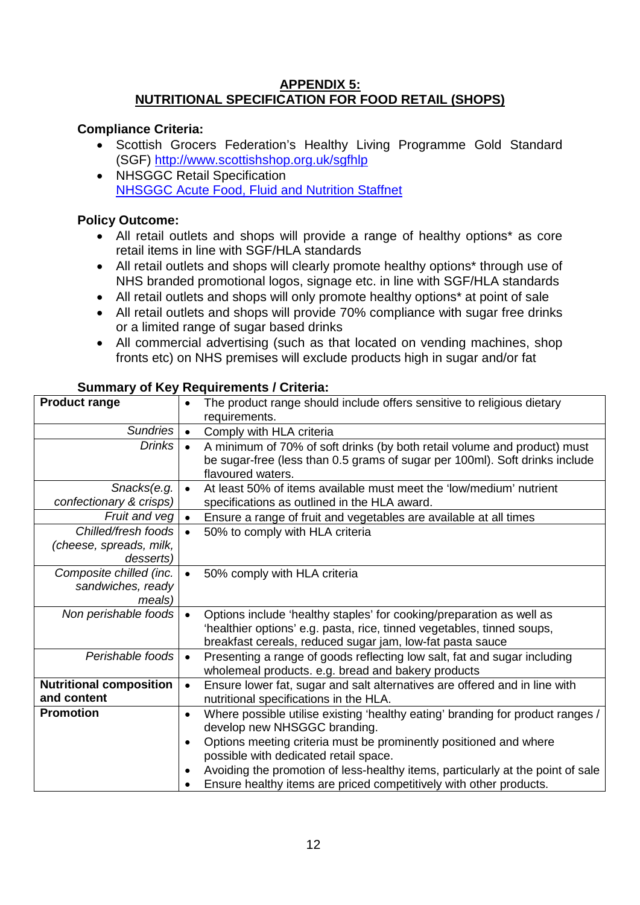### **APPENDIX 5: NUTRITIONAL SPECIFICATION FOR FOOD RETAIL (SHOPS)**

# **Compliance Criteria:**

- Scottish Grocers Federation's Healthy Living Programme Gold Standard (SGF) <http://www.scottishshop.org.uk/sgfhlp>
- NHSGGC Retail Specification [NHSGGC Acute Food, Fluid and Nutrition Staffnet](http://www.staffnet.ggc.scot.nhs.uk/Acute/Division%20Wide%20Services/Food%20Fluid%20And%20Nutrition/Pages/default25441b9248e1429892e04d69e101b99b.aspx)

# **Policy Outcome:**

- All retail outlets and shops will provide a range of healthy options\* as core retail items in line with SGF/HLA standards
- All retail outlets and shops will clearly promote healthy options\* through use of NHS branded promotional logos, signage etc. in line with SGF/HLA standards
- All retail outlets and shops will only promote healthy options<sup>\*</sup> at point of sale
- All retail outlets and shops will provide 70% compliance with sugar free drinks or a limited range of sugar based drinks
- All commercial advertising (such as that located on vending machines, shop fronts etc) on NHS premises will exclude products high in sugar and/or fat

| <b>Product range</b>                                        | The product range should include offers sensitive to religious dietary<br>$\bullet$<br>requirements.                                                                                                                     |
|-------------------------------------------------------------|--------------------------------------------------------------------------------------------------------------------------------------------------------------------------------------------------------------------------|
| Sundries                                                    | Comply with HLA criteria<br>$\bullet$                                                                                                                                                                                    |
| <b>Drinks</b>                                               | A minimum of 70% of soft drinks (by both retail volume and product) must<br>$\bullet$<br>be sugar-free (less than 0.5 grams of sugar per 100ml). Soft drinks include<br>flavoured waters.                                |
| Snacks(e.g.<br>confectionary & crisps)                      | At least 50% of items available must meet the 'low/medium' nutrient<br>$\bullet$<br>specifications as outlined in the HLA award.                                                                                         |
| Fruit and veg                                               | Ensure a range of fruit and vegetables are available at all times<br>$\bullet$                                                                                                                                           |
| Chilled/fresh foods<br>(cheese, spreads, milk,<br>desserts) | $\bullet$<br>50% to comply with HLA criteria                                                                                                                                                                             |
| Composite chilled (inc.<br>sandwiches, ready<br>meals)      | 50% comply with HLA criteria<br>$\bullet$                                                                                                                                                                                |
| Non perishable foods                                        | Options include 'healthy staples' for cooking/preparation as well as<br>$\bullet$<br>'healthier options' e.g. pasta, rice, tinned vegetables, tinned soups,<br>breakfast cereals, reduced sugar jam, low-fat pasta sauce |
| Perishable foods                                            | Presenting a range of goods reflecting low salt, fat and sugar including<br>$\bullet$<br>wholemeal products. e.g. bread and bakery products                                                                              |
| <b>Nutritional composition</b><br>and content               | Ensure lower fat, sugar and salt alternatives are offered and in line with<br>$\bullet$<br>nutritional specifications in the HLA.                                                                                        |
| <b>Promotion</b>                                            | Where possible utilise existing 'healthy eating' branding for product ranges /<br>$\bullet$<br>develop new NHSGGC branding.                                                                                              |
|                                                             | Options meeting criteria must be prominently positioned and where<br>$\bullet$<br>possible with dedicated retail space.                                                                                                  |
|                                                             | Avoiding the promotion of less-healthy items, particularly at the point of sale<br>٠<br>Ensure healthy items are priced competitively with other products.                                                               |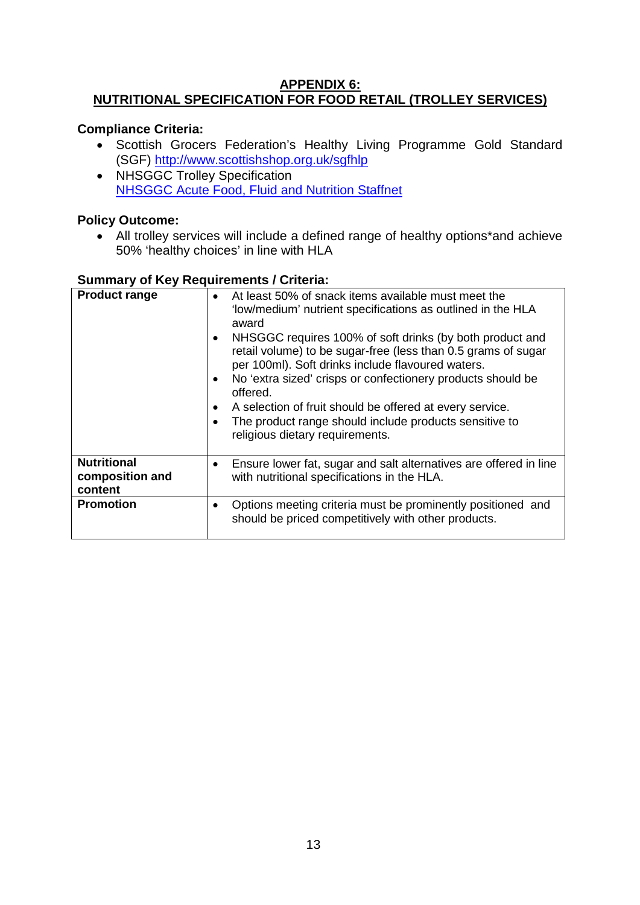#### **APPENDIX 6: NUTRITIONAL SPECIFICATION FOR FOOD RETAIL (TROLLEY SERVICES)**

# **Compliance Criteria:**

- Scottish Grocers Federation's Healthy Living Programme Gold Standard (SGF) <http://www.scottishshop.org.uk/sgfhlp>
- NHSGGC Trolley Specification [NHSGGC Acute Food, Fluid and Nutrition Staffnet](http://www.staffnet.ggc.scot.nhs.uk/Acute/Division%20Wide%20Services/Food%20Fluid%20And%20Nutrition/Pages/default25441b9248e1429892e04d69e101b99b.aspx)

# **Policy Outcome:**

• All trolley services will include a defined range of healthy options\*and achieve 50% 'healthy choices' in line with HLA

| <b>Product range</b>                             | At least 50% of snack items available must meet the<br>$\bullet$<br>'low/medium' nutrient specifications as outlined in the HLA<br>award<br>NHSGGC requires 100% of soft drinks (by both product and<br>$\bullet$<br>retail volume) to be sugar-free (less than 0.5 grams of sugar<br>per 100ml). Soft drinks include flavoured waters.<br>No 'extra sized' crisps or confectionery products should be<br>offered.<br>A selection of fruit should be offered at every service.<br>$\bullet$<br>The product range should include products sensitive to<br>religious dietary requirements. |
|--------------------------------------------------|------------------------------------------------------------------------------------------------------------------------------------------------------------------------------------------------------------------------------------------------------------------------------------------------------------------------------------------------------------------------------------------------------------------------------------------------------------------------------------------------------------------------------------------------------------------------------------------|
| <b>Nutritional</b><br>composition and<br>content | Ensure lower fat, sugar and salt alternatives are offered in line<br>٠<br>with nutritional specifications in the HLA.                                                                                                                                                                                                                                                                                                                                                                                                                                                                    |
| <b>Promotion</b>                                 | Options meeting criteria must be prominently positioned and<br>٠<br>should be priced competitively with other products.                                                                                                                                                                                                                                                                                                                                                                                                                                                                  |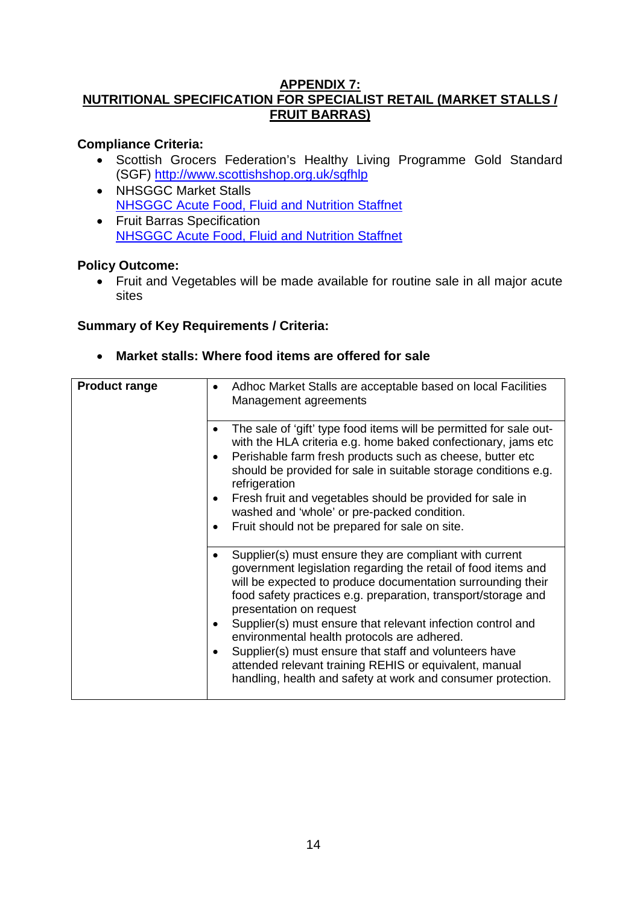#### **APPENDIX 7: NUTRITIONAL SPECIFICATION FOR SPECIALIST RETAIL (MARKET STALLS / FRUIT BARRAS)**

# **Compliance Criteria:**

- Scottish Grocers Federation's Healthy Living Programme Gold Standard (SGF)<http://www.scottishshop.org.uk/sgfhlp>
- NHSGGC Market Stalls [NHSGGC Acute Food, Fluid and Nutrition Staffnet](http://www.staffnet.ggc.scot.nhs.uk/Acute/Division%20Wide%20Services/Food%20Fluid%20And%20Nutrition/Pages/default25441b9248e1429892e04d69e101b99b.aspx)
- Fruit Barras Specification [NHSGGC Acute Food, Fluid and Nutrition Staffnet](http://www.staffnet.ggc.scot.nhs.uk/Acute/Division%20Wide%20Services/Food%20Fluid%20And%20Nutrition/Pages/default25441b9248e1429892e04d69e101b99b.aspx)

### **Policy Outcome:**

• Fruit and Vegetables will be made available for routine sale in all major acute sites

# **Summary of Key Requirements / Criteria:**

• **Market stalls: Where food items are offered for sale**

| <b>Product range</b> | Adhoc Market Stalls are acceptable based on local Facilities<br>Management agreements                                                                                                                                                                                                                                                                                                                                                                                                                                                                                                                   |
|----------------------|---------------------------------------------------------------------------------------------------------------------------------------------------------------------------------------------------------------------------------------------------------------------------------------------------------------------------------------------------------------------------------------------------------------------------------------------------------------------------------------------------------------------------------------------------------------------------------------------------------|
|                      | The sale of 'gift' type food items will be permitted for sale out-<br>with the HLA criteria e.g. home baked confectionary, jams etc<br>Perishable farm fresh products such as cheese, butter etc<br>should be provided for sale in suitable storage conditions e.g.<br>refrigeration<br>Fresh fruit and vegetables should be provided for sale in<br>$\bullet$<br>washed and 'whole' or pre-packed condition.<br>Fruit should not be prepared for sale on site.<br>٠                                                                                                                                    |
|                      | Supplier(s) must ensure they are compliant with current<br>government legislation regarding the retail of food items and<br>will be expected to produce documentation surrounding their<br>food safety practices e.g. preparation, transport/storage and<br>presentation on request<br>Supplier(s) must ensure that relevant infection control and<br>$\bullet$<br>environmental health protocols are adhered.<br>Supplier(s) must ensure that staff and volunteers have<br>٠<br>attended relevant training REHIS or equivalent, manual<br>handling, health and safety at work and consumer protection. |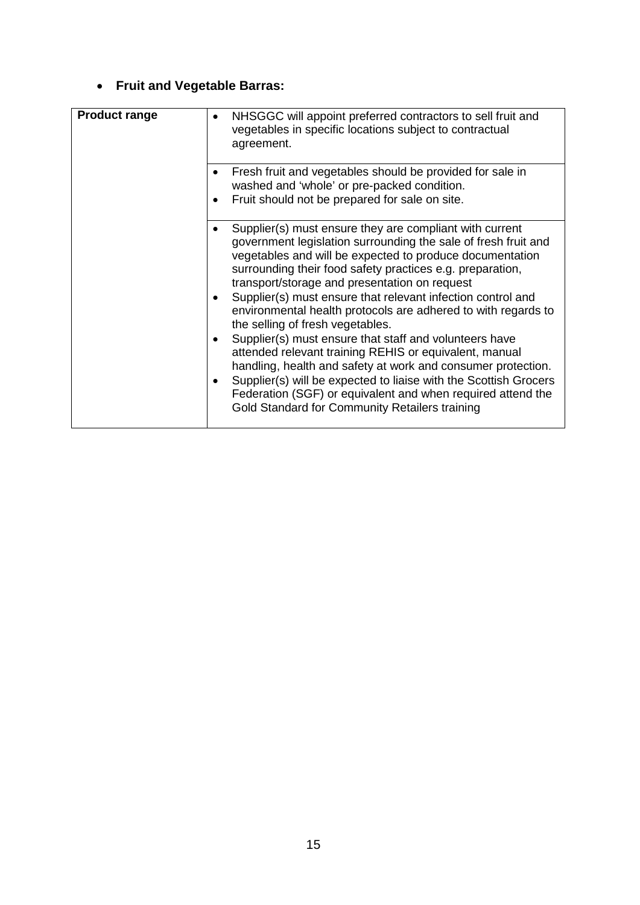# • **Fruit and Vegetable Barras:**

| <b>Product range</b> | NHSGGC will appoint preferred contractors to sell fruit and<br>vegetables in specific locations subject to contractual<br>agreement.                                                                                                                                                                                                                                                                                                                                                                                                                                                                                                                                                                                                                                                                                                             |
|----------------------|--------------------------------------------------------------------------------------------------------------------------------------------------------------------------------------------------------------------------------------------------------------------------------------------------------------------------------------------------------------------------------------------------------------------------------------------------------------------------------------------------------------------------------------------------------------------------------------------------------------------------------------------------------------------------------------------------------------------------------------------------------------------------------------------------------------------------------------------------|
|                      | Fresh fruit and vegetables should be provided for sale in<br>washed and 'whole' or pre-packed condition.<br>Fruit should not be prepared for sale on site.                                                                                                                                                                                                                                                                                                                                                                                                                                                                                                                                                                                                                                                                                       |
|                      | Supplier(s) must ensure they are compliant with current<br>government legislation surrounding the sale of fresh fruit and<br>vegetables and will be expected to produce documentation<br>surrounding their food safety practices e.g. preparation,<br>transport/storage and presentation on request<br>Supplier(s) must ensure that relevant infection control and<br>environmental health protocols are adhered to with regards to<br>the selling of fresh vegetables.<br>Supplier(s) must ensure that staff and volunteers have<br>attended relevant training REHIS or equivalent, manual<br>handling, health and safety at work and consumer protection.<br>Supplier(s) will be expected to liaise with the Scottish Grocers<br>Federation (SGF) or equivalent and when required attend the<br>Gold Standard for Community Retailers training |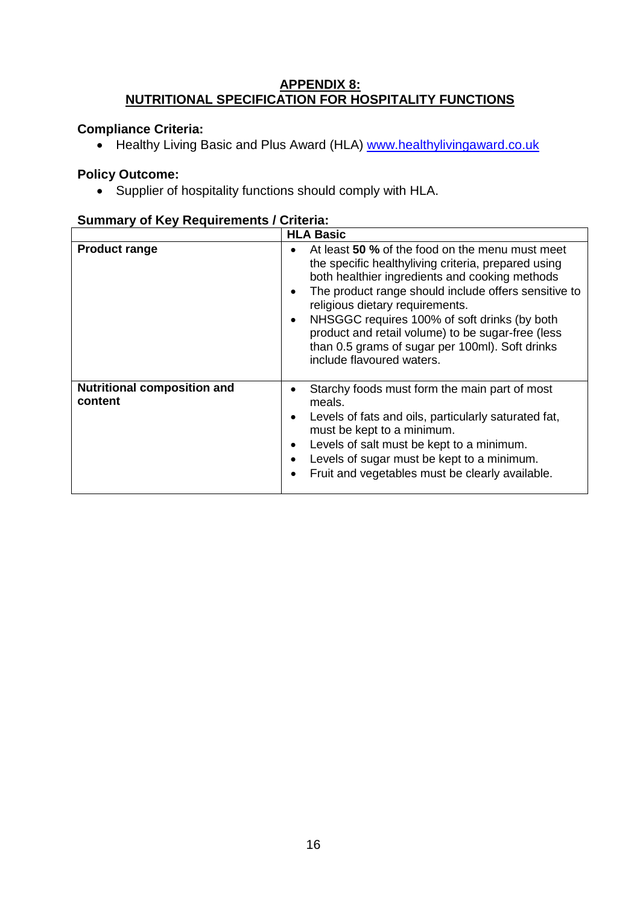#### **APPENDIX 8: NUTRITIONAL SPECIFICATION FOR HOSPITALITY FUNCTIONS**

# **Compliance Criteria:**

• Healthy Living Basic and Plus Award (HLA) [www.healthylivingaward.co.uk](http://www.healthylivingaward.co.uk/)

# **Policy Outcome:**

• Supplier of hospitality functions should comply with HLA.

| Summary Or Rey Requirements / Criteria.       |                                                                                                                                                                                                                                                                                                                                                                                                                                                                    |  |
|-----------------------------------------------|--------------------------------------------------------------------------------------------------------------------------------------------------------------------------------------------------------------------------------------------------------------------------------------------------------------------------------------------------------------------------------------------------------------------------------------------------------------------|--|
|                                               | <b>HLA Basic</b>                                                                                                                                                                                                                                                                                                                                                                                                                                                   |  |
| <b>Product range</b>                          | At least 50 % of the food on the menu must meet<br>the specific healthyliving criteria, prepared using<br>both healthier ingredients and cooking methods<br>The product range should include offers sensitive to<br>$\bullet$<br>religious dietary requirements.<br>NHSGGC requires 100% of soft drinks (by both<br>$\bullet$<br>product and retail volume) to be sugar-free (less<br>than 0.5 grams of sugar per 100ml). Soft drinks<br>include flavoured waters. |  |
| <b>Nutritional composition and</b><br>content | Starchy foods must form the main part of most<br>٠<br>meals.<br>Levels of fats and oils, particularly saturated fat,<br>$\bullet$<br>must be kept to a minimum.<br>Levels of salt must be kept to a minimum.<br>Levels of sugar must be kept to a minimum.<br>Fruit and vegetables must be clearly available.                                                                                                                                                      |  |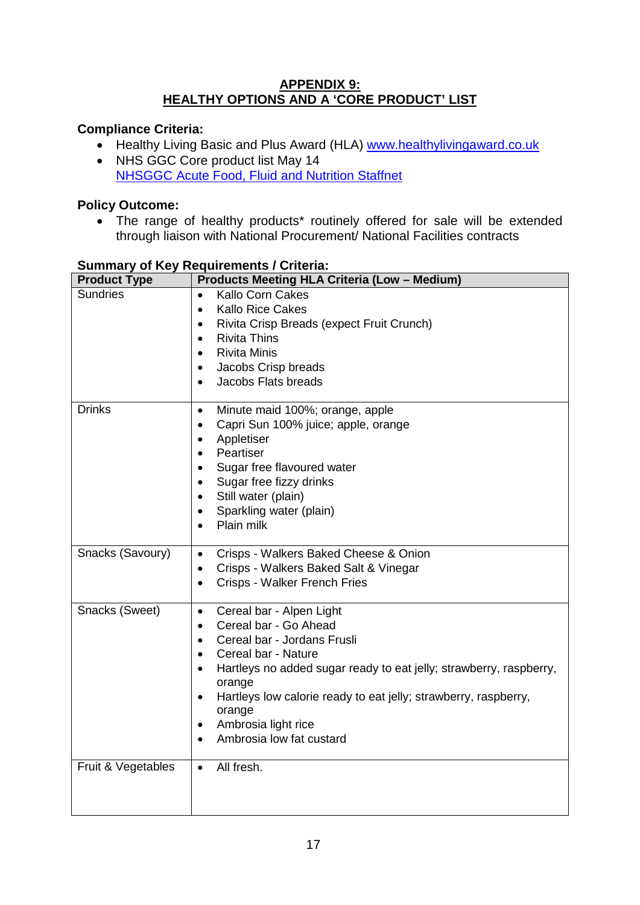### **APPENDIX 9: HEALTHY OPTIONS AND A 'CORE PRODUCT' LIST**

# **Compliance Criteria:**

- Healthy Living Basic and Plus Award (HLA) [www.healthylivingaward.co.uk](http://www.healthylivingaward.co.uk/)<br>• NHS GGC Core product list May 14
- NHS GGC Core product list May 14 [NHSGGC Acute Food, Fluid and Nutrition Staffnet](http://www.staffnet.ggc.scot.nhs.uk/Acute/Division%20Wide%20Services/Food%20Fluid%20And%20Nutrition/Pages/default25441b9248e1429892e04d69e101b99b.aspx)

# **Policy Outcome:**

• The range of healthy products<sup>\*</sup> routinely offered for sale will be extended through liaison with National Procurement/ National Facilities contracts

| <b>Product Type</b> | <b>Products Meeting HLA Criteria (Low - Medium)</b>                                                                                                                                                                                                                                                                                                                                                        |
|---------------------|------------------------------------------------------------------------------------------------------------------------------------------------------------------------------------------------------------------------------------------------------------------------------------------------------------------------------------------------------------------------------------------------------------|
| <b>Sundries</b>     | <b>Kallo Corn Cakes</b><br>$\bullet$<br><b>Kallo Rice Cakes</b><br>$\bullet$<br>Rivita Crisp Breads (expect Fruit Crunch)<br>$\bullet$<br><b>Rivita Thins</b><br>$\bullet$<br><b>Rivita Minis</b><br>$\bullet$<br>Jacobs Crisp breads<br>$\bullet$<br>Jacobs Flats breads<br>$\bullet$                                                                                                                     |
| <b>Drinks</b>       | Minute maid 100%; orange, apple<br>$\bullet$<br>Capri Sun 100% juice; apple, orange<br>٠<br>Appletiser<br>$\bullet$<br>Peartiser<br>$\bullet$<br>Sugar free flavoured water<br>$\bullet$<br>Sugar free fizzy drinks<br>$\bullet$<br>Still water (plain)<br>$\bullet$<br>Sparkling water (plain)<br>$\bullet$<br>Plain milk                                                                                 |
| Snacks (Savoury)    | Crisps - Walkers Baked Cheese & Onion<br>Crisps - Walkers Baked Salt & Vinegar<br>Crisps - Walker French Fries                                                                                                                                                                                                                                                                                             |
| Snacks (Sweet)      | Cereal bar - Alpen Light<br>$\bullet$<br>Cereal bar - Go Ahead<br>$\bullet$<br>Cereal bar - Jordans Frusli<br>$\bullet$<br>Cereal bar - Nature<br>$\bullet$<br>Hartleys no added sugar ready to eat jelly; strawberry, raspberry,<br>$\bullet$<br>orange<br>Hartleys low calorie ready to eat jelly; strawberry, raspberry,<br>$\bullet$<br>orange<br>Ambrosia light rice<br>٠<br>Ambrosia low fat custard |
| Fruit & Vegetables  | All fresh.<br>$\bullet$                                                                                                                                                                                                                                                                                                                                                                                    |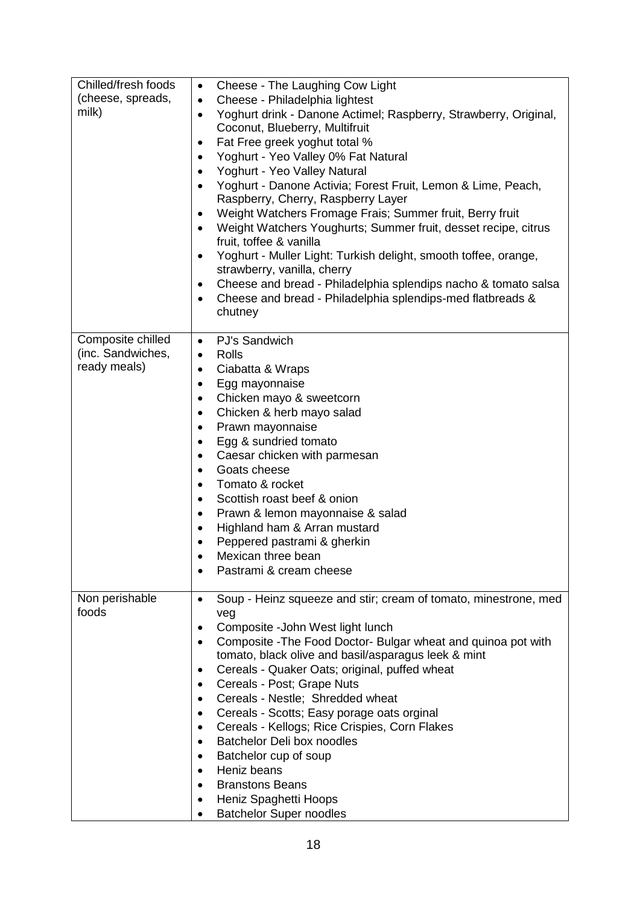| Chilled/fresh foods<br>(cheese, spreads,<br>milk)      | Cheese - The Laughing Cow Light<br>$\bullet$<br>Cheese - Philadelphia lightest<br>$\bullet$<br>Yoghurt drink - Danone Actimel; Raspberry, Strawberry, Original,<br>$\bullet$<br>Coconut, Blueberry, Multifruit<br>Fat Free greek yoghut total %<br>٠<br>Yoghurt - Yeo Valley 0% Fat Natural<br>$\bullet$<br>Yoghurt - Yeo Valley Natural<br>٠<br>Yoghurt - Danone Activia; Forest Fruit, Lemon & Lime, Peach,<br>Raspberry, Cherry, Raspberry Layer<br>Weight Watchers Fromage Frais; Summer fruit, Berry fruit<br>٠<br>Weight Watchers Youghurts; Summer fruit, desset recipe, citrus<br>$\bullet$<br>fruit, toffee & vanilla<br>Yoghurt - Muller Light: Turkish delight, smooth toffee, orange,<br>٠<br>strawberry, vanilla, cherry<br>Cheese and bread - Philadelphia splendips nacho & tomato salsa<br>٠<br>Cheese and bread - Philadelphia splendips-med flatbreads &<br>٠<br>chutney |
|--------------------------------------------------------|--------------------------------------------------------------------------------------------------------------------------------------------------------------------------------------------------------------------------------------------------------------------------------------------------------------------------------------------------------------------------------------------------------------------------------------------------------------------------------------------------------------------------------------------------------------------------------------------------------------------------------------------------------------------------------------------------------------------------------------------------------------------------------------------------------------------------------------------------------------------------------------------|
| Composite chilled<br>(inc. Sandwiches,<br>ready meals) | PJ's Sandwich<br>$\bullet$<br>Rolls<br>$\bullet$<br>Ciabatta & Wraps<br>٠<br>Egg mayonnaise<br>٠<br>Chicken mayo & sweetcorn<br>$\bullet$<br>Chicken & herb mayo salad<br>٠<br>Prawn mayonnaise<br>٠<br>Egg & sundried tomato<br>٠<br>Caesar chicken with parmesan<br>$\bullet$<br>Goats cheese<br>Tomato & rocket<br>$\bullet$<br>Scottish roast beef & onion<br>$\bullet$<br>Prawn & lemon mayonnaise & salad<br>٠<br>Highland ham & Arran mustard<br>$\bullet$<br>Peppered pastrami & gherkin<br>Mexican three bean<br>Pastrami & cream cheese                                                                                                                                                                                                                                                                                                                                          |
| Non perishable<br>foods                                | Soup - Heinz squeeze and stir; cream of tomato, minestrone, med<br>veg<br>Composite - John West light lunch<br>٠<br>Composite - The Food Doctor- Bulgar wheat and quinoa pot with<br>tomato, black olive and basil/asparagus leek & mint<br>Cereals - Quaker Oats; original, puffed wheat<br>٠<br>Cereals - Post; Grape Nuts<br>٠<br>Cereals - Nestle; Shredded wheat<br>$\bullet$<br>Cereals - Scotts; Easy porage oats orginal<br>٠<br>Cereals - Kellogs; Rice Crispies, Corn Flakes<br>$\bullet$<br>Batchelor Deli box noodles<br>$\bullet$<br>Batchelor cup of soup<br>٠<br>Heniz beans<br>٠<br><b>Branstons Beans</b><br>Heniz Spaghetti Hoops<br><b>Batchelor Super noodles</b>                                                                                                                                                                                                      |